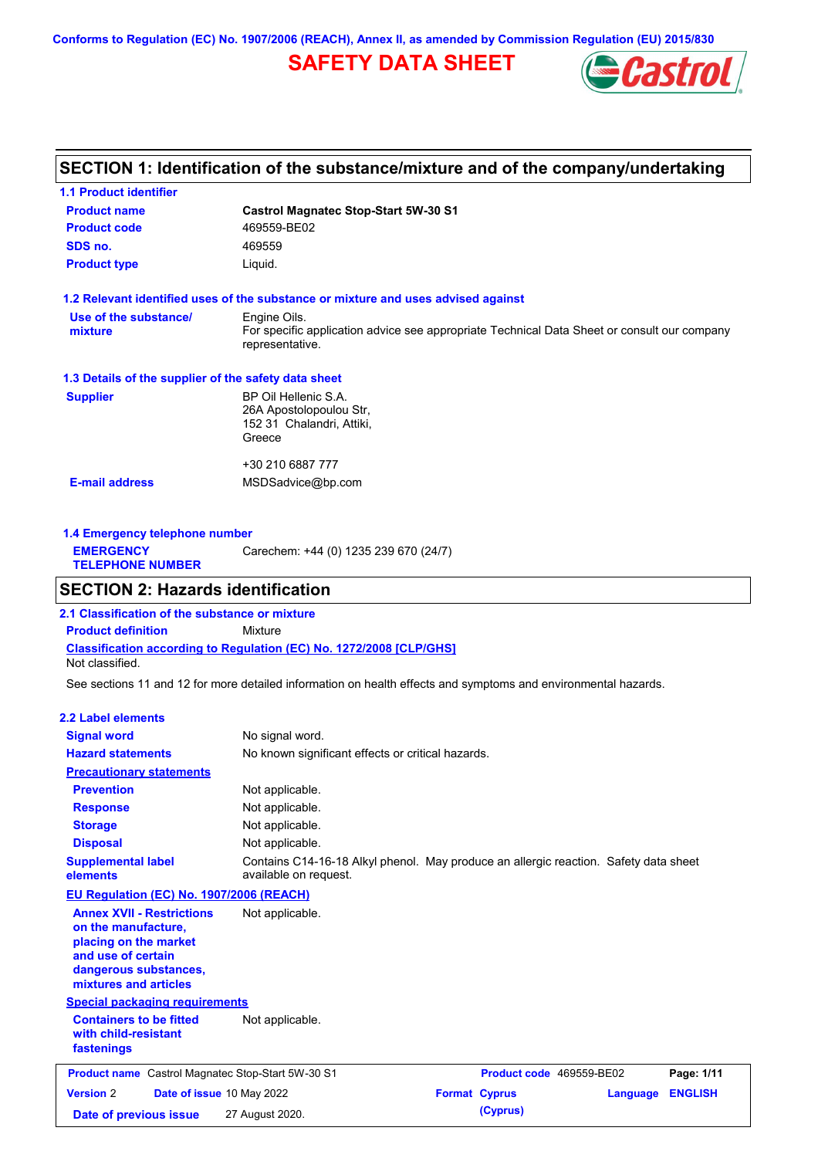**Conforms to Regulation (EC) No. 1907/2006 (REACH), Annex II, as amended by Commission Regulation (EU) 2015/830**

# **SAFETY DATA SHEET**



# **SECTION 1: Identification of the substance/mixture and of the company/undertaking**

| <b>1.1 Product identifier</b>                        |                                                                                                                |
|------------------------------------------------------|----------------------------------------------------------------------------------------------------------------|
| <b>Product name</b>                                  | <b>Castrol Magnatec Stop-Start 5W-30 S1</b>                                                                    |
| <b>Product code</b>                                  | 469559-BE02                                                                                                    |
| SDS no.                                              | 469559                                                                                                         |
| <b>Product type</b>                                  | Liquid.                                                                                                        |
|                                                      | 1.2 Relevant identified uses of the substance or mixture and uses advised against                              |
| Use of the substance/                                | Engine Oils.                                                                                                   |
| mixture                                              | For specific application advice see appropriate Technical Data Sheet or consult our company<br>representative. |
| 1.3 Details of the supplier of the safety data sheet |                                                                                                                |
| <b>Supplier</b>                                      | BP Oil Hellenic S.A.                                                                                           |
|                                                      | 26A Apostolopoulou Str.                                                                                        |
|                                                      | 152 31 Chalandri, Attiki,                                                                                      |
|                                                      | Greece                                                                                                         |
|                                                      |                                                                                                                |
|                                                      | +30 210 6887 777                                                                                               |

| Carechem: +44 (0) 1235 239 670 (24/7)<br><b>EMERGENCY</b><br><b>TELEPHONE NUMBER</b> | 1.4 Emergency telephone number |  |  |  |  |
|--------------------------------------------------------------------------------------|--------------------------------|--|--|--|--|
|                                                                                      |                                |  |  |  |  |

## **SECTION 2: Hazards identification**

**Classification according to Regulation (EC) No. 1272/2008 [CLP/GHS] 2.1 Classification of the substance or mixture Product definition** Mixture Not classified.

See sections 11 and 12 for more detailed information on health effects and symptoms and environmental hazards.

### **2.2 Label elements**

| <b>Signal word</b>                                                                                                                                       | No signal word.                                                                                               |                          |          |                |
|----------------------------------------------------------------------------------------------------------------------------------------------------------|---------------------------------------------------------------------------------------------------------------|--------------------------|----------|----------------|
| <b>Hazard statements</b>                                                                                                                                 | No known significant effects or critical hazards.                                                             |                          |          |                |
| <b>Precautionary statements</b>                                                                                                                          |                                                                                                               |                          |          |                |
| <b>Prevention</b>                                                                                                                                        | Not applicable.                                                                                               |                          |          |                |
| <b>Response</b>                                                                                                                                          | Not applicable.                                                                                               |                          |          |                |
| <b>Storage</b>                                                                                                                                           | Not applicable.                                                                                               |                          |          |                |
| <b>Disposal</b>                                                                                                                                          | Not applicable.                                                                                               |                          |          |                |
| <b>Supplemental label</b><br>elements                                                                                                                    | Contains C14-16-18 Alkyl phenol. May produce an allergic reaction. Safety data sheet<br>available on request. |                          |          |                |
| EU Regulation (EC) No. 1907/2006 (REACH)                                                                                                                 |                                                                                                               |                          |          |                |
| <b>Annex XVII - Restrictions</b><br>on the manufacture,<br>placing on the market<br>and use of certain<br>dangerous substances,<br>mixtures and articles | Not applicable.                                                                                               |                          |          |                |
| <b>Special packaging requirements</b>                                                                                                                    |                                                                                                               |                          |          |                |
| <b>Containers to be fitted</b><br>with child-resistant<br>fastenings                                                                                     | Not applicable.                                                                                               |                          |          |                |
| <b>Product name</b> Castrol Magnatec Stop-Start 5W-30 S1                                                                                                 |                                                                                                               | Product code 469559-BE02 |          | Page: 1/11     |
| <b>Version 2</b><br>Date of issue 10 May 2022                                                                                                            |                                                                                                               | <b>Format Cyprus</b>     | Language | <b>ENGLISH</b> |
| Date of previous issue                                                                                                                                   | 27 August 2020.                                                                                               | (Cyprus)                 |          |                |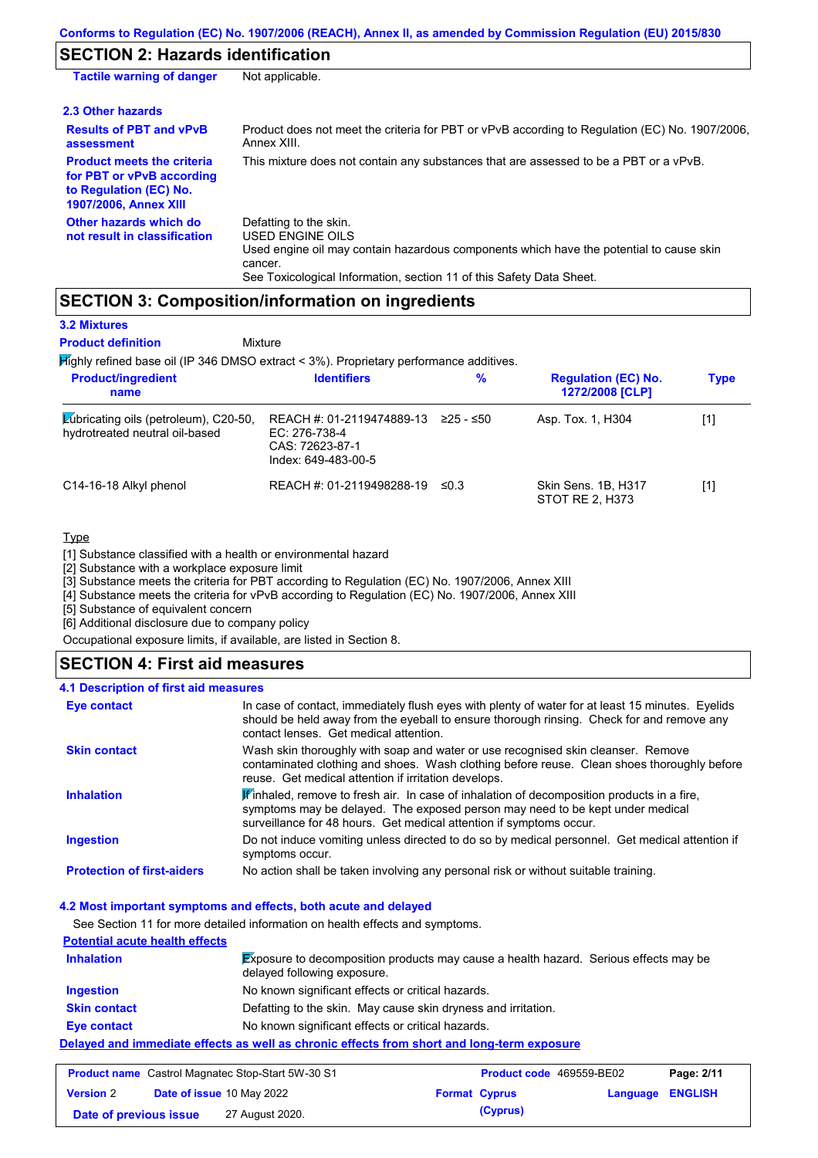# **SECTION 2: Hazards identification**

| <b>Tactile warning of danger</b>                                                                                         | Not applicable.                                                                                                                                                                                                                 |
|--------------------------------------------------------------------------------------------------------------------------|---------------------------------------------------------------------------------------------------------------------------------------------------------------------------------------------------------------------------------|
| 2.3 Other hazards                                                                                                        |                                                                                                                                                                                                                                 |
| <b>Results of PBT and vPvB</b><br>assessment                                                                             | Product does not meet the criteria for PBT or vPvB according to Regulation (EC) No. 1907/2006,<br>Annex XIII.                                                                                                                   |
| <b>Product meets the criteria</b><br>for PBT or vPvB according<br>to Regulation (EC) No.<br><b>1907/2006, Annex XIII</b> | This mixture does not contain any substances that are assessed to be a PBT or a vPvB.                                                                                                                                           |
| Other hazards which do<br>not result in classification                                                                   | Defatting to the skin.<br><b>USED ENGINE OILS</b><br>Used engine oil may contain hazardous components which have the potential to cause skin<br>cancer.<br>See Toxicological Information, section 11 of this Safety Data Sheet. |

## **SECTION 3: Composition/information on ingredients**

**Mixture** 

## **3.2 Mixtures Product definition**

 $H$ ighly refined base oil (IP 346 DMSO extract < 3%). Proprietary performance additives

| <b>Product/ingredient</b><br>name                                       | <b>Identifiers</b>                                                                   | $\%$      | <b>Regulation (EC) No.</b><br>1272/2008 [CLP] | <b>Type</b> |
|-------------------------------------------------------------------------|--------------------------------------------------------------------------------------|-----------|-----------------------------------------------|-------------|
| Lubricating oils (petroleum), C20-50,<br>hydrotreated neutral oil-based | REACH #: 01-2119474889-13<br>EC: 276-738-4<br>CAS: 72623-87-1<br>Index: 649-483-00-5 | ≥25 - ≤50 | Asp. Tox. 1, H304                             | [1]         |
| C14-16-18 Alkyl phenol                                                  | REACH #: 01-2119498288-19                                                            | ≤0.3      | Skin Sens. 1B, H317<br>STOT RE 2, H373        | [1]         |

## **Type**

[1] Substance classified with a health or environmental hazard

[2] Substance with a workplace exposure limit

[3] Substance meets the criteria for PBT according to Regulation (EC) No. 1907/2006, Annex XIII

[4] Substance meets the criteria for vPvB according to Regulation (EC) No. 1907/2006, Annex XIII

[5] Substance of equivalent concern

[6] Additional disclosure due to company policy

Occupational exposure limits, if available, are listed in Section 8.

## **SECTION 4: First aid measures**

### **4.1 Description of first aid measures**

| Eye contact                       | In case of contact, immediately flush eyes with plenty of water for at least 15 minutes. Eyelids<br>should be held away from the eyeball to ensure thorough rinsing. Check for and remove any<br>contact lenses. Get medical attention.             |
|-----------------------------------|-----------------------------------------------------------------------------------------------------------------------------------------------------------------------------------------------------------------------------------------------------|
| <b>Skin contact</b>               | Wash skin thoroughly with soap and water or use recognised skin cleanser. Remove<br>contaminated clothing and shoes. Wash clothing before reuse. Clean shoes thoroughly before<br>reuse. Get medical attention if irritation develops.              |
| <b>Inhalation</b>                 | If inhaled, remove to fresh air. In case of inhalation of decomposition products in a fire,<br>symptoms may be delayed. The exposed person may need to be kept under medical<br>surveillance for 48 hours. Get medical attention if symptoms occur. |
| <b>Ingestion</b>                  | Do not induce vomiting unless directed to do so by medical personnel. Get medical attention if<br>symptoms occur.                                                                                                                                   |
| <b>Protection of first-aiders</b> | No action shall be taken involving any personal risk or without suitable training.                                                                                                                                                                  |

### **4.2 Most important symptoms and effects, both acute and delayed**

See Section 11 for more detailed information on health effects and symptoms.

| <b>Potential acute health effects</b> |                                                                                                                            |
|---------------------------------------|----------------------------------------------------------------------------------------------------------------------------|
| <b>Inhalation</b>                     | <b>Exposure to decomposition products may cause a health hazard.</b> Serious effects may be<br>delayed following exposure. |
| <b>Ingestion</b>                      | No known significant effects or critical hazards.                                                                          |
| <b>Skin contact</b>                   | Defatting to the skin. May cause skin dryness and irritation.                                                              |
| <b>Eye contact</b>                    | No known significant effects or critical hazards.                                                                          |
|                                       | Delayed and immediate effects as well as chronic effects from short and long-term exposure                                 |

## **Product name** Castrol Magnatec Stop-Start 5W-30 S1 **Product code** 469559-BE02 **Page: 2/11**

| <b>Product hame</b> Castrol Magnatec Stop-Start 5W-30 ST |  |                           | <b>Product code</b> 469559-BE02 | Page: 2/11           |                         |  |
|----------------------------------------------------------|--|---------------------------|---------------------------------|----------------------|-------------------------|--|
| <b>Version 2</b>                                         |  | Date of issue 10 May 2022 |                                 | <b>Format Cyprus</b> | <b>Language ENGLISH</b> |  |
| Date of previous issue                                   |  | 27 August 2020.           |                                 | (Cyprus)             |                         |  |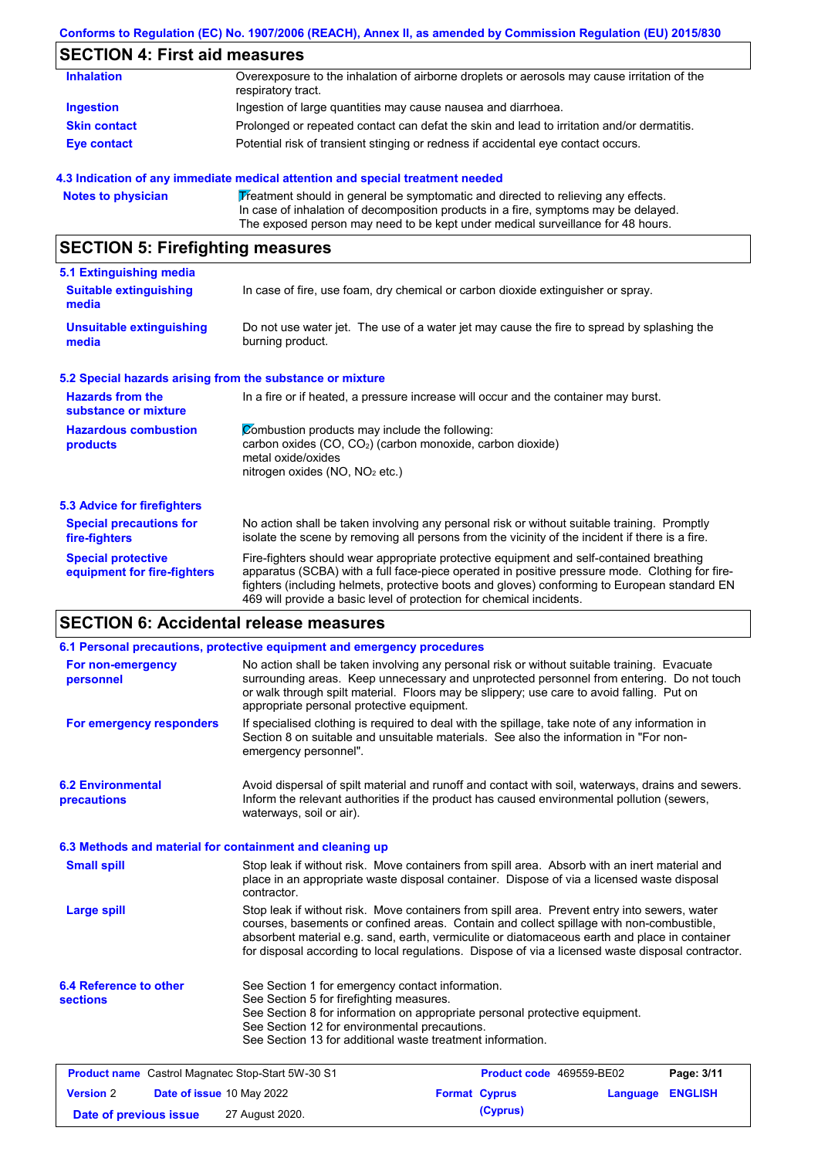## **Conforms to Regulation (EC) No. 1907/2006 (REACH), Annex II, as amended by Commission Regulation (EU) 2015/830**

# **SECTION 4: First aid measures**

| <b>Inhalation</b>   | Overexposure to the inhalation of airborne droplets or aerosols may cause irritation of the<br>respiratory tract. |
|---------------------|-------------------------------------------------------------------------------------------------------------------|
| <b>Ingestion</b>    | Ingestion of large quantities may cause nausea and diarrhoea.                                                     |
| <b>Skin contact</b> | Prolonged or repeated contact can defat the skin and lead to irritation and/or dermatitis.                        |
| Eye contact         | Potential risk of transient stinging or redness if accidental eye contact occurs.                                 |

### **4.3 Indication of any immediate medical attention and special treatment needed**

| <b>Notes to physician</b> | Treatment should in general be symptomatic and directed to relieving any effects.   |
|---------------------------|-------------------------------------------------------------------------------------|
|                           | In case of inhalation of decomposition products in a fire, symptoms may be delayed. |
|                           | The exposed person may need to be kept under medical surveillance for 48 hours.     |

# **SECTION 5: Firefighting measures**

| 5.1 Extinguishing media                                   |                                                                                                                                                                                                                                                                                                                                                                   |
|-----------------------------------------------------------|-------------------------------------------------------------------------------------------------------------------------------------------------------------------------------------------------------------------------------------------------------------------------------------------------------------------------------------------------------------------|
| <b>Suitable extinguishing</b><br>media                    | In case of fire, use foam, dry chemical or carbon dioxide extinguisher or spray.                                                                                                                                                                                                                                                                                  |
| <b>Unsuitable extinguishing</b><br>media                  | Do not use water jet. The use of a water jet may cause the fire to spread by splashing the<br>burning product.                                                                                                                                                                                                                                                    |
| 5.2 Special hazards arising from the substance or mixture |                                                                                                                                                                                                                                                                                                                                                                   |
| <b>Hazards from the</b><br>substance or mixture           | In a fire or if heated, a pressure increase will occur and the container may burst.                                                                                                                                                                                                                                                                               |
| <b>Hazardous combustion</b><br>products                   | Combustion products may include the following:<br>carbon oxides (CO, CO <sub>2</sub> ) (carbon monoxide, carbon dioxide)<br>metal oxide/oxides<br>nitrogen oxides ( $NO$ , $NO2$ etc.)                                                                                                                                                                            |
| 5.3 Advice for firefighters                               |                                                                                                                                                                                                                                                                                                                                                                   |
| <b>Special precautions for</b><br>fire-fighters           | No action shall be taken involving any personal risk or without suitable training. Promptly<br>isolate the scene by removing all persons from the vicinity of the incident if there is a fire.                                                                                                                                                                    |
| <b>Special protective</b><br>equipment for fire-fighters  | Fire-fighters should wear appropriate protective equipment and self-contained breathing<br>apparatus (SCBA) with a full face-piece operated in positive pressure mode. Clothing for fire-<br>fighters (including helmets, protective boots and gloves) conforming to European standard EN<br>469 will provide a basic level of protection for chemical incidents. |

# **SECTION 6: Accidental release measures**

|                                                                                                                                                                                                                                                                                                                                                                                                                      | 6.1 Personal precautions, protective equipment and emergency procedures                                                                                                                                                                                                                                                             |                      |                          |                |
|----------------------------------------------------------------------------------------------------------------------------------------------------------------------------------------------------------------------------------------------------------------------------------------------------------------------------------------------------------------------------------------------------------------------|-------------------------------------------------------------------------------------------------------------------------------------------------------------------------------------------------------------------------------------------------------------------------------------------------------------------------------------|----------------------|--------------------------|----------------|
| For non-emergency<br>personnel                                                                                                                                                                                                                                                                                                                                                                                       | No action shall be taken involving any personal risk or without suitable training. Evacuate<br>surrounding areas. Keep unnecessary and unprotected personnel from entering. Do not touch<br>or walk through spilt material. Floors may be slippery; use care to avoid falling. Put on<br>appropriate personal protective equipment. |                      |                          |                |
| For emergency responders                                                                                                                                                                                                                                                                                                                                                                                             | If specialised clothing is required to deal with the spillage, take note of any information in<br>Section 8 on suitable and unsuitable materials. See also the information in "For non-<br>emergency personnel".                                                                                                                    |                      |                          |                |
| <b>6.2 Environmental</b><br>precautions                                                                                                                                                                                                                                                                                                                                                                              | Avoid dispersal of spilt material and runoff and contact with soil, waterways, drains and sewers.<br>Inform the relevant authorities if the product has caused environmental pollution (sewers,<br>waterways, soil or air).                                                                                                         |                      |                          |                |
| 6.3 Methods and material for containment and cleaning up                                                                                                                                                                                                                                                                                                                                                             |                                                                                                                                                                                                                                                                                                                                     |                      |                          |                |
| <b>Small spill</b><br>Stop leak if without risk. Move containers from spill area. Absorb with an inert material and<br>place in an appropriate waste disposal container. Dispose of via a licensed waste disposal<br>contractor.                                                                                                                                                                                     |                                                                                                                                                                                                                                                                                                                                     |                      |                          |                |
| Stop leak if without risk. Move containers from spill area. Prevent entry into sewers, water<br><b>Large spill</b><br>courses, basements or confined areas. Contain and collect spillage with non-combustible,<br>absorbent material e.g. sand, earth, vermiculite or diatomaceous earth and place in container<br>for disposal according to local regulations. Dispose of via a licensed waste disposal contractor. |                                                                                                                                                                                                                                                                                                                                     |                      |                          |                |
| 6.4 Reference to other<br><b>sections</b>                                                                                                                                                                                                                                                                                                                                                                            | See Section 1 for emergency contact information.<br>See Section 5 for firefighting measures.<br>See Section 8 for information on appropriate personal protective equipment.<br>See Section 12 for environmental precautions.<br>See Section 13 for additional waste treatment information.                                          |                      |                          |                |
| <b>Product name</b> Castrol Magnatec Stop-Start 5W-30 S1                                                                                                                                                                                                                                                                                                                                                             |                                                                                                                                                                                                                                                                                                                                     |                      | Product code 469559-BE02 | Page: 3/11     |
| <b>Version 2</b><br>Date of issue 10 May 2022                                                                                                                                                                                                                                                                                                                                                                        |                                                                                                                                                                                                                                                                                                                                     | <b>Format Cyprus</b> | Language                 | <b>ENGLISH</b> |
| Date of previous issue                                                                                                                                                                                                                                                                                                                                                                                               | 27 August 2020.                                                                                                                                                                                                                                                                                                                     | (Cyprus)             |                          |                |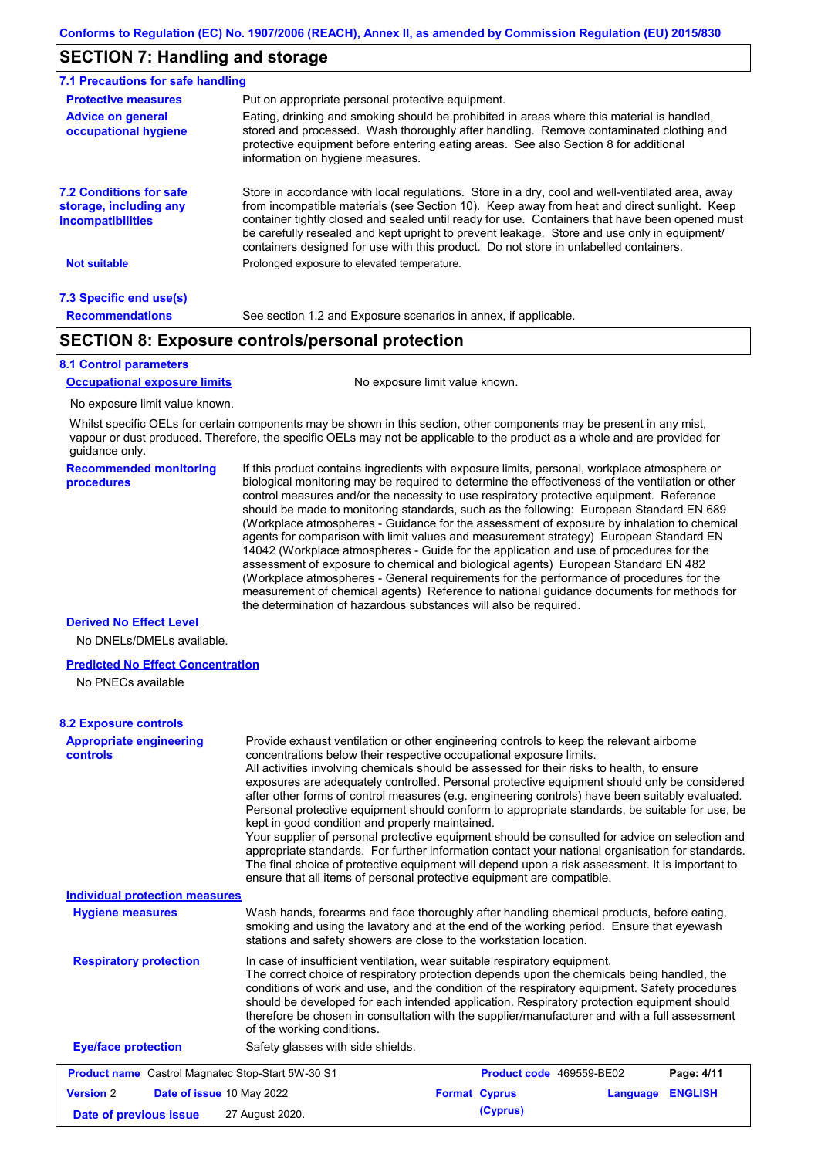## **SECTION 7: Handling and storage**

| 7.1 Precautions for safe handling                                                    |                                                                                                                                                                                                                                                                                                                                                                                                                                                                                          |  |  |  |  |  |
|--------------------------------------------------------------------------------------|------------------------------------------------------------------------------------------------------------------------------------------------------------------------------------------------------------------------------------------------------------------------------------------------------------------------------------------------------------------------------------------------------------------------------------------------------------------------------------------|--|--|--|--|--|
| <b>Protective measures</b>                                                           | Put on appropriate personal protective equipment.                                                                                                                                                                                                                                                                                                                                                                                                                                        |  |  |  |  |  |
| <b>Advice on general</b><br>occupational hygiene                                     | Eating, drinking and smoking should be prohibited in areas where this material is handled,<br>stored and processed. Wash thoroughly after handling. Remove contaminated clothing and<br>protective equipment before entering eating areas. See also Section 8 for additional<br>information on hygiene measures.                                                                                                                                                                         |  |  |  |  |  |
| <b>7.2 Conditions for safe</b><br>storage, including any<br><i>incompatibilities</i> | Store in accordance with local requlations. Store in a dry, cool and well-ventilated area, away<br>from incompatible materials (see Section 10). Keep away from heat and direct sunlight. Keep<br>container tightly closed and sealed until ready for use. Containers that have been opened must<br>be carefully resealed and kept upright to prevent leakage. Store and use only in equipment/<br>containers designed for use with this product. Do not store in unlabelled containers. |  |  |  |  |  |
| Not suitable                                                                         | Prolonged exposure to elevated temperature.                                                                                                                                                                                                                                                                                                                                                                                                                                              |  |  |  |  |  |
| 7.3 Specific end use(s)                                                              |                                                                                                                                                                                                                                                                                                                                                                                                                                                                                          |  |  |  |  |  |
| <b>Recommendations</b>                                                               | See section 1.2 and Exposure scenarios in annex, if applicable.                                                                                                                                                                                                                                                                                                                                                                                                                          |  |  |  |  |  |

## **SECTION 8: Exposure controls/personal protection**

### **8.1 Control parameters**

**Occupational exposure limits** No exposure limit value known.

No exposure limit value known.

Whilst specific OELs for certain components may be shown in this section, other components may be present in any mist, vapour or dust produced. Therefore, the specific OELs may not be applicable to the product as a whole and are provided for guidance only.

**Recommended monitoring procedures** If this product contains ingredients with exposure limits, personal, workplace atmosphere or biological monitoring may be required to determine the effectiveness of the ventilation or other control measures and/or the necessity to use respiratory protective equipment. Reference should be made to monitoring standards, such as the following: European Standard EN 689 (Workplace atmospheres - Guidance for the assessment of exposure by inhalation to chemical agents for comparison with limit values and measurement strategy) European Standard EN 14042 (Workplace atmospheres - Guide for the application and use of procedures for the assessment of exposure to chemical and biological agents) European Standard EN 482 (Workplace atmospheres - General requirements for the performance of procedures for the measurement of chemical agents) Reference to national guidance documents for methods for the determination of hazardous substances will also be required.

#### **Derived No Effect Level**

No DNELs/DMELs available.

#### **Predicted No Effect Concentration**

No PNECs available

#### **8.2 Exposure controls**

| <b>Appropriate engineering</b><br><b>controls</b>        | Provide exhaust ventilation or other engineering controls to keep the relevant airborne<br>concentrations below their respective occupational exposure limits.<br>All activities involving chemicals should be assessed for their risks to health, to ensure<br>exposures are adequately controlled. Personal protective equipment should only be considered<br>after other forms of control measures (e.g. engineering controls) have been suitably evaluated.<br>Personal protective equipment should conform to appropriate standards, be suitable for use, be<br>kept in good condition and properly maintained.<br>Your supplier of personal protective equipment should be consulted for advice on selection and<br>appropriate standards. For further information contact your national organisation for standards.<br>The final choice of protective equipment will depend upon a risk assessment. It is important to<br>ensure that all items of personal protective equipment are compatible. |
|----------------------------------------------------------|---------------------------------------------------------------------------------------------------------------------------------------------------------------------------------------------------------------------------------------------------------------------------------------------------------------------------------------------------------------------------------------------------------------------------------------------------------------------------------------------------------------------------------------------------------------------------------------------------------------------------------------------------------------------------------------------------------------------------------------------------------------------------------------------------------------------------------------------------------------------------------------------------------------------------------------------------------------------------------------------------------|
| <b>Individual protection measures</b>                    |                                                                                                                                                                                                                                                                                                                                                                                                                                                                                                                                                                                                                                                                                                                                                                                                                                                                                                                                                                                                         |
| <b>Hygiene measures</b>                                  | Wash hands, forearms and face thoroughly after handling chemical products, before eating,<br>smoking and using the lavatory and at the end of the working period. Ensure that eyewash<br>stations and safety showers are close to the workstation location.                                                                                                                                                                                                                                                                                                                                                                                                                                                                                                                                                                                                                                                                                                                                             |
| <b>Respiratory protection</b>                            | In case of insufficient ventilation, wear suitable respiratory equipment.<br>The correct choice of respiratory protection depends upon the chemicals being handled, the<br>conditions of work and use, and the condition of the respiratory equipment. Safety procedures<br>should be developed for each intended application. Respiratory protection equipment should<br>therefore be chosen in consultation with the supplier/manufacturer and with a full assessment<br>of the working conditions.                                                                                                                                                                                                                                                                                                                                                                                                                                                                                                   |
| <b>Eye/face protection</b>                               | Safety glasses with side shields.                                                                                                                                                                                                                                                                                                                                                                                                                                                                                                                                                                                                                                                                                                                                                                                                                                                                                                                                                                       |
| <b>Product name</b> Castrol Magnatec Stop-Start 5W-30 S1 | Product code 469559-BE02<br>Page: 4/11                                                                                                                                                                                                                                                                                                                                                                                                                                                                                                                                                                                                                                                                                                                                                                                                                                                                                                                                                                  |
| <b>Version 2</b><br>Date of issue 10 May 2022            | <b>ENGLISH</b><br><b>Format Cyprus</b><br>Language                                                                                                                                                                                                                                                                                                                                                                                                                                                                                                                                                                                                                                                                                                                                                                                                                                                                                                                                                      |
| Date of previous issue                                   | (Cyprus)<br>27 August 2020.                                                                                                                                                                                                                                                                                                                                                                                                                                                                                                                                                                                                                                                                                                                                                                                                                                                                                                                                                                             |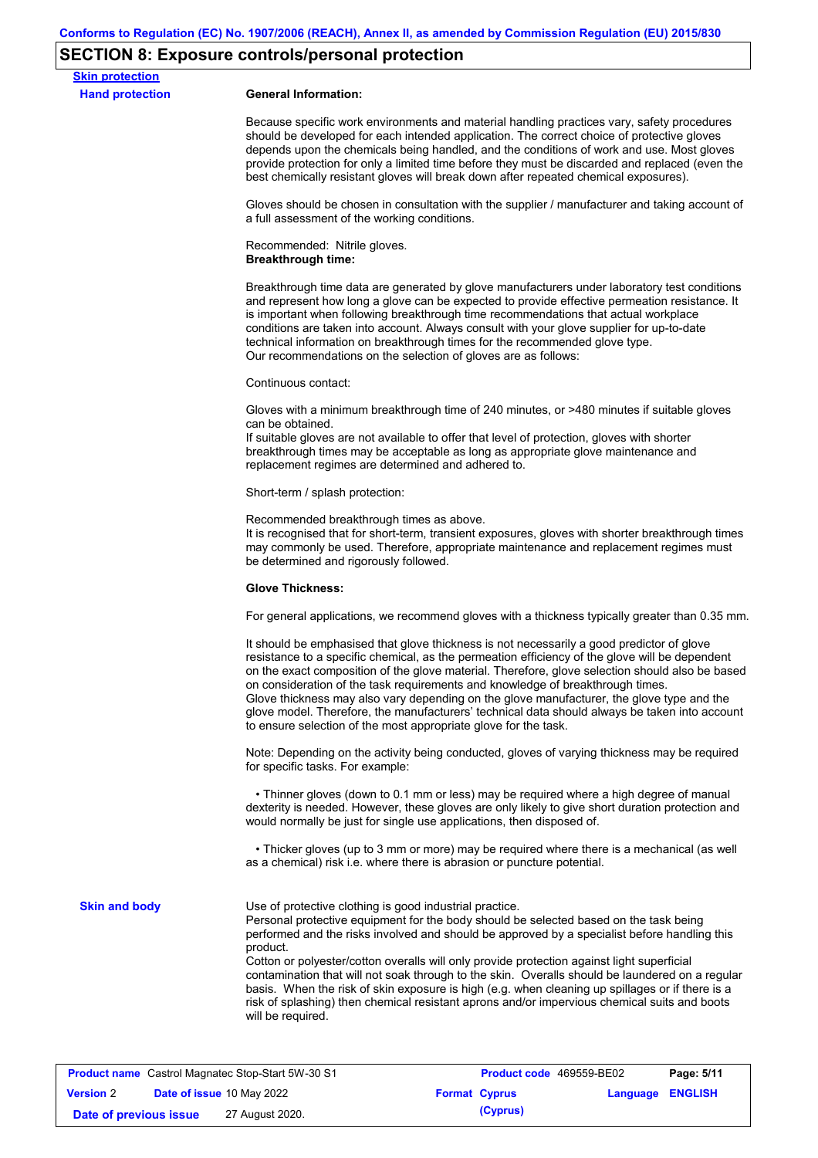# **SECTION 8: Exposure controls/personal protection**

| <b>Skin protection</b><br><b>Hand protection</b> | <b>General Information:</b>                                                                                                                                                                                                                                                                                                                                                                                                                                                                                                                                                                                                                                                           |  |  |  |  |
|--------------------------------------------------|---------------------------------------------------------------------------------------------------------------------------------------------------------------------------------------------------------------------------------------------------------------------------------------------------------------------------------------------------------------------------------------------------------------------------------------------------------------------------------------------------------------------------------------------------------------------------------------------------------------------------------------------------------------------------------------|--|--|--|--|
|                                                  | Because specific work environments and material handling practices vary, safety procedures<br>should be developed for each intended application. The correct choice of protective gloves<br>depends upon the chemicals being handled, and the conditions of work and use. Most gloves<br>provide protection for only a limited time before they must be discarded and replaced (even the<br>best chemically resistant gloves will break down after repeated chemical exposures).                                                                                                                                                                                                      |  |  |  |  |
|                                                  | Gloves should be chosen in consultation with the supplier / manufacturer and taking account of<br>a full assessment of the working conditions.                                                                                                                                                                                                                                                                                                                                                                                                                                                                                                                                        |  |  |  |  |
|                                                  | Recommended: Nitrile gloves.<br><b>Breakthrough time:</b>                                                                                                                                                                                                                                                                                                                                                                                                                                                                                                                                                                                                                             |  |  |  |  |
|                                                  | Breakthrough time data are generated by glove manufacturers under laboratory test conditions<br>and represent how long a glove can be expected to provide effective permeation resistance. It<br>is important when following breakthrough time recommendations that actual workplace<br>conditions are taken into account. Always consult with your glove supplier for up-to-date<br>technical information on breakthrough times for the recommended glove type.<br>Our recommendations on the selection of gloves are as follows:                                                                                                                                                    |  |  |  |  |
|                                                  | Continuous contact:                                                                                                                                                                                                                                                                                                                                                                                                                                                                                                                                                                                                                                                                   |  |  |  |  |
|                                                  | Gloves with a minimum breakthrough time of 240 minutes, or >480 minutes if suitable gloves<br>can be obtained.<br>If suitable gloves are not available to offer that level of protection, gloves with shorter<br>breakthrough times may be acceptable as long as appropriate glove maintenance and<br>replacement regimes are determined and adhered to.                                                                                                                                                                                                                                                                                                                              |  |  |  |  |
|                                                  | Short-term / splash protection:                                                                                                                                                                                                                                                                                                                                                                                                                                                                                                                                                                                                                                                       |  |  |  |  |
|                                                  | Recommended breakthrough times as above.<br>It is recognised that for short-term, transient exposures, gloves with shorter breakthrough times<br>may commonly be used. Therefore, appropriate maintenance and replacement regimes must<br>be determined and rigorously followed.<br><b>Glove Thickness:</b><br>For general applications, we recommend gloves with a thickness typically greater than 0.35 mm.                                                                                                                                                                                                                                                                         |  |  |  |  |
|                                                  |                                                                                                                                                                                                                                                                                                                                                                                                                                                                                                                                                                                                                                                                                       |  |  |  |  |
|                                                  |                                                                                                                                                                                                                                                                                                                                                                                                                                                                                                                                                                                                                                                                                       |  |  |  |  |
|                                                  | It should be emphasised that glove thickness is not necessarily a good predictor of glove<br>resistance to a specific chemical, as the permeation efficiency of the glove will be dependent<br>on the exact composition of the glove material. Therefore, glove selection should also be based<br>on consideration of the task requirements and knowledge of breakthrough times.<br>Glove thickness may also vary depending on the glove manufacturer, the glove type and the<br>glove model. Therefore, the manufacturers' technical data should always be taken into account<br>to ensure selection of the most appropriate glove for the task.                                     |  |  |  |  |
|                                                  | Note: Depending on the activity being conducted, gloves of varying thickness may be required<br>for specific tasks. For example:                                                                                                                                                                                                                                                                                                                                                                                                                                                                                                                                                      |  |  |  |  |
|                                                  | • Thinner gloves (down to 0.1 mm or less) may be required where a high degree of manual<br>dexterity is needed. However, these gloves are only likely to give short duration protection and<br>would normally be just for single use applications, then disposed of.                                                                                                                                                                                                                                                                                                                                                                                                                  |  |  |  |  |
|                                                  | • Thicker gloves (up to 3 mm or more) may be required where there is a mechanical (as well<br>as a chemical) risk i.e. where there is abrasion or puncture potential.                                                                                                                                                                                                                                                                                                                                                                                                                                                                                                                 |  |  |  |  |
| <b>Skin and body</b>                             | Use of protective clothing is good industrial practice.<br>Personal protective equipment for the body should be selected based on the task being<br>performed and the risks involved and should be approved by a specialist before handling this<br>product.<br>Cotton or polyester/cotton overalls will only provide protection against light superficial<br>contamination that will not soak through to the skin. Overalls should be laundered on a regular<br>basis. When the risk of skin exposure is high (e.g. when cleaning up spillages or if there is a<br>risk of splashing) then chemical resistant aprons and/or impervious chemical suits and boots<br>will be required. |  |  |  |  |
|                                                  |                                                                                                                                                                                                                                                                                                                                                                                                                                                                                                                                                                                                                                                                                       |  |  |  |  |
|                                                  | <b>Product name</b> Castrol Magnatec Stop-Start 5W-30 S1<br>Product code 469559-BE02<br>Page: 5/11                                                                                                                                                                                                                                                                                                                                                                                                                                                                                                                                                                                    |  |  |  |  |
| <b>Version 2</b>                                 | <b>ENGLISH</b><br>Date of issue 10 May 2022<br><b>Format Cyprus</b><br>Language                                                                                                                                                                                                                                                                                                                                                                                                                                                                                                                                                                                                       |  |  |  |  |

**Date of previous issue** 27 August 2020.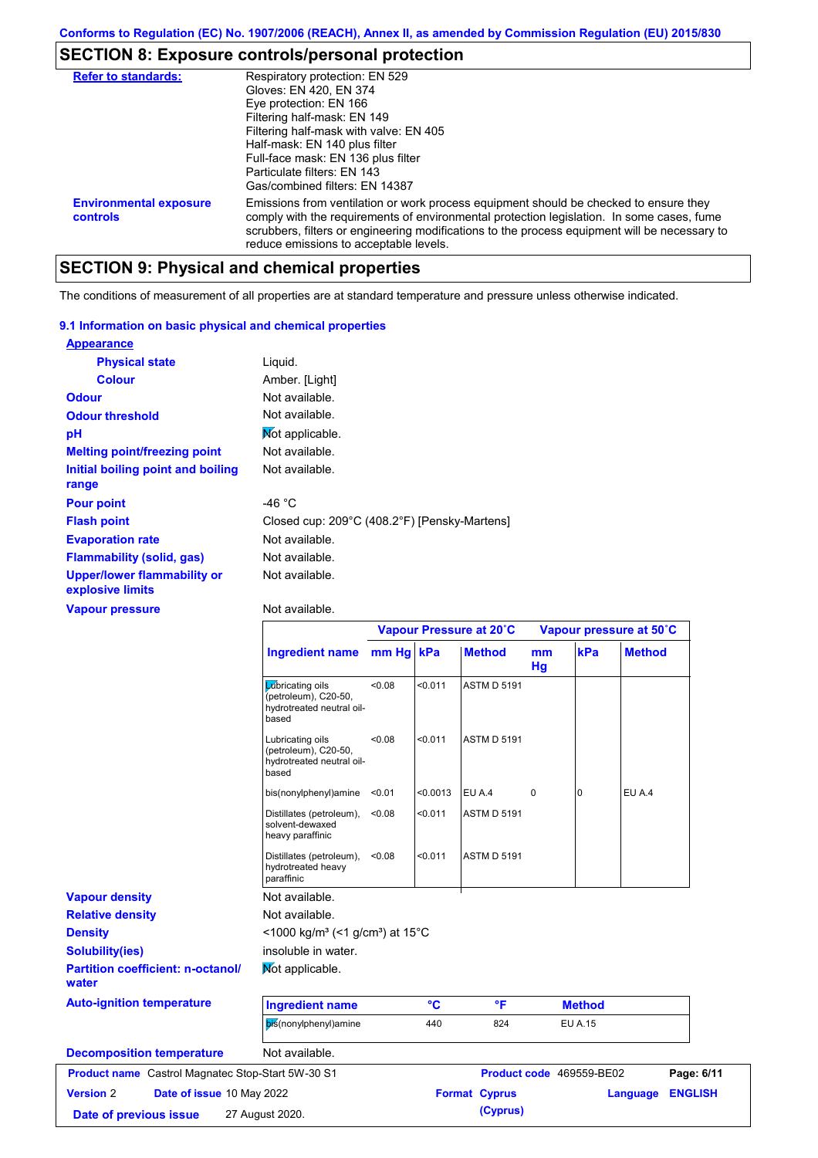# **SECTION 8: Exposure controls/personal protection**

| <b>Refer to standards:</b>                | Respiratory protection: EN 529<br>Gloves: EN 420, EN 374<br>Eye protection: EN 166<br>Filtering half-mask: EN 149<br>Filtering half-mask with valve: EN 405<br>Half-mask: EN 140 plus filter<br>Full-face mask: EN 136 plus filter<br>Particulate filters: EN 143<br>Gas/combined filters: EN 14387                           |
|-------------------------------------------|-------------------------------------------------------------------------------------------------------------------------------------------------------------------------------------------------------------------------------------------------------------------------------------------------------------------------------|
| <b>Environmental exposure</b><br>controls | Emissions from ventilation or work process equipment should be checked to ensure they<br>comply with the requirements of environmental protection legislation. In some cases, fume<br>scrubbers, filters or engineering modifications to the process equipment will be necessary to<br>reduce emissions to acceptable levels. |

# **SECTION 9: Physical and chemical properties**

The conditions of measurement of all properties are at standard temperature and pressure unless otherwise indicated.

### **9.1 Information on basic physical and chemical properties**

| <b>Appearance</b>                                      |                                              |
|--------------------------------------------------------|----------------------------------------------|
| <b>Physical state</b>                                  | Liguid.                                      |
| <b>Colour</b>                                          | Amber. [Light]                               |
| <b>Odour</b>                                           | Not available.                               |
| <b>Odour threshold</b>                                 | Not available.                               |
| pH                                                     | Mot applicable.                              |
| <b>Melting point/freezing point</b>                    | Not available.                               |
| Initial boiling point and boiling<br>range             | Not available.                               |
| <b>Pour point</b>                                      | -46 $^{\circ}$ C                             |
| <b>Flash point</b>                                     | Closed cup: 209°C (408.2°F) [Pensky-Martens] |
| <b>Evaporation rate</b>                                | Not available.                               |
| <b>Flammability (solid, gas)</b>                       | Not available.                               |
| <b>Upper/lower flammability or</b><br>explosive limits | Not available.                               |

**Vapour pressure**

Not available.

|                                                   |                                                                                        |           |          | Vapour Pressure at 20°C |             |                          | Vapour pressure at 50°C |                |
|---------------------------------------------------|----------------------------------------------------------------------------------------|-----------|----------|-------------------------|-------------|--------------------------|-------------------------|----------------|
|                                                   | <b>Ingredient name</b>                                                                 | mm Hg kPa |          | <b>Method</b>           | mm<br>Hg    | kPa                      | <b>Method</b>           |                |
|                                                   | <b>L</b> úbricating oils<br>(petroleum), C20-50,<br>hydrotreated neutral oil-<br>based | <0.08     | < 0.011  | <b>ASTM D 5191</b>      |             |                          |                         |                |
|                                                   | Lubricating oils<br>(petroleum), C20-50,<br>hydrotreated neutral oil-<br>based         | <0.08     | < 0.011  | <b>ASTM D 5191</b>      |             |                          |                         |                |
|                                                   | bis(nonylphenyl)amine                                                                  | < 0.01    | < 0.0013 | EU A.4                  | $\mathbf 0$ | $\Omega$                 | EU A.4                  |                |
|                                                   | Distillates (petroleum),<br>solvent-dewaxed<br>heavy paraffinic                        | < 0.08    | < 0.011  | <b>ASTM D 5191</b>      |             |                          |                         |                |
|                                                   | Distillates (petroleum),<br>hydrotreated heavy<br>paraffinic                           | < 0.08    | < 0.011  | <b>ASTM D 5191</b>      |             |                          |                         |                |
| <b>Vapour density</b>                             | Not available.                                                                         |           |          |                         |             |                          |                         |                |
| <b>Relative density</b>                           | Not available.                                                                         |           |          |                         |             |                          |                         |                |
| <b>Density</b>                                    | <1000 kg/m <sup>3</sup> (<1 g/cm <sup>3</sup> ) at 15 <sup>°</sup> C                   |           |          |                         |             |                          |                         |                |
| <b>Solubility(ies)</b>                            | insoluble in water.                                                                    |           |          |                         |             |                          |                         |                |
| <b>Partition coefficient: n-octanol/</b><br>water | Mot applicable.                                                                        |           |          |                         |             |                          |                         |                |
| <b>Auto-ignition temperature</b>                  | <b>Ingredient name</b>                                                                 |           | °C       | °F                      |             | <b>Method</b>            |                         |                |
|                                                   | bis(nonylphenyl)amine                                                                  |           | 440      | 824                     |             | <b>EU A.15</b>           |                         |                |
| <b>Decomposition temperature</b>                  | Not available.                                                                         |           |          |                         |             |                          |                         |                |
| Product name Castrol Magnatec Stop-Start 5W-30 S1 |                                                                                        |           |          |                         |             | Product code 469559-BE02 |                         | Page: 6/11     |
| <b>Version 2</b><br>Date of issue 10 May 2022     |                                                                                        |           |          | <b>Format Cyprus</b>    |             |                          | Language                | <b>ENGLISH</b> |
| Date of previous issue                            | 27 August 2020.                                                                        |           |          | (Cyprus)                |             |                          |                         |                |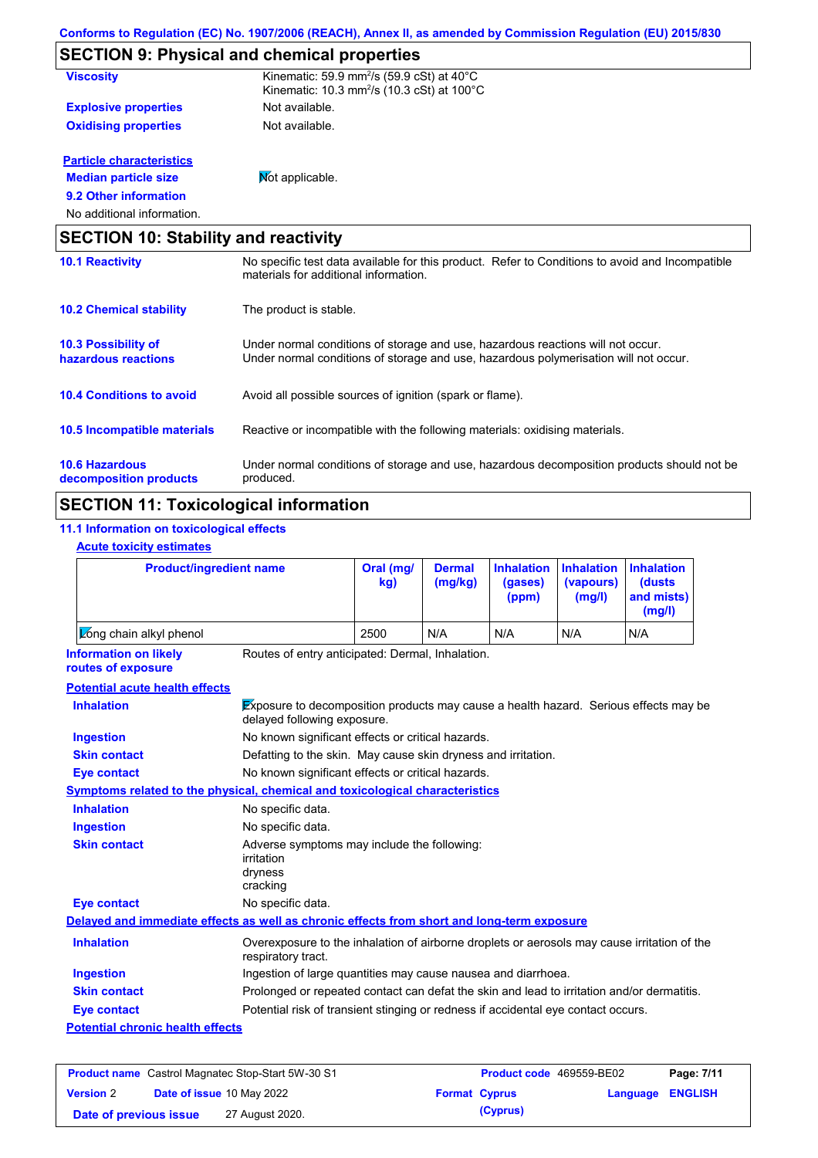|                                                   | <b>SECTION 9: Physical and chemical properties</b>                                                                                                                      |
|---------------------------------------------------|-------------------------------------------------------------------------------------------------------------------------------------------------------------------------|
| <b>Viscosity</b>                                  | Kinematic: 59.9 mm <sup>2</sup> /s (59.9 cSt) at 40°C<br>Kinematic: 10.3 mm <sup>2</sup> /s (10.3 cSt) at 100 $^{\circ}$ C                                              |
| <b>Explosive properties</b>                       | Not available.                                                                                                                                                          |
| <b>Oxidising properties</b>                       | Not available.                                                                                                                                                          |
| <b>Particle characteristics</b>                   |                                                                                                                                                                         |
| <b>Median particle size</b>                       | Mot applicable.                                                                                                                                                         |
| 9.2 Other information                             |                                                                                                                                                                         |
| No additional information.                        |                                                                                                                                                                         |
| <b>SECTION 10: Stability and reactivity</b>       |                                                                                                                                                                         |
| <b>10.1 Reactivity</b>                            | No specific test data available for this product. Refer to Conditions to avoid and Incompatible<br>materials for additional information.                                |
| <b>10.2 Chemical stability</b>                    | The product is stable.                                                                                                                                                  |
| <b>10.3 Possibility of</b><br>hazardous reactions | Under normal conditions of storage and use, hazardous reactions will not occur.<br>Under normal conditions of storage and use, hazardous polymerisation will not occur. |
| <b>10.4 Conditions to avoid</b>                   | Avoid all possible sources of ignition (spark or flame).                                                                                                                |
| <b>10.5 Incompatible materials</b>                | Reactive or incompatible with the following materials: oxidising materials.                                                                                             |
| <b>10.6 Hazardous</b><br>decomposition products   | Under normal conditions of storage and use, hazardous decomposition products should not be<br>produced.                                                                 |

# **SECTION 11: Toxicological information**

## **11.1 Information on toxicological effects**

|  | <b>Acute toxicity estimates</b> |  |  |  |
|--|---------------------------------|--|--|--|
|--|---------------------------------|--|--|--|

| <b>Product/ingredient name</b><br>Long chain alkyl phenol                                  |                                                                                                                     | Oral (mg/<br><b>Dermal</b><br>(mg/kg)<br>kg)                  |     | <b>Inhalation</b><br>(gases)<br>(ppm) | <b>Inhalation</b><br>(vapours)<br>(mg/l) | <b>Inhalation</b><br>(dusts<br>and mists)<br>(mg/l) |
|--------------------------------------------------------------------------------------------|---------------------------------------------------------------------------------------------------------------------|---------------------------------------------------------------|-----|---------------------------------------|------------------------------------------|-----------------------------------------------------|
|                                                                                            |                                                                                                                     | 2500                                                          | N/A | N/A                                   | N/A                                      | N/A                                                 |
| <b>Information on likely</b><br>routes of exposure                                         | Routes of entry anticipated: Dermal, Inhalation.                                                                    |                                                               |     |                                       |                                          |                                                     |
| <b>Potential acute health effects</b>                                                      |                                                                                                                     |                                                               |     |                                       |                                          |                                                     |
| <b>Inhalation</b>                                                                          | Exposure to decomposition products may cause a health hazard. Serious effects may be<br>delayed following exposure. |                                                               |     |                                       |                                          |                                                     |
| <b>Ingestion</b>                                                                           | No known significant effects or critical hazards.                                                                   |                                                               |     |                                       |                                          |                                                     |
| <b>Skin contact</b>                                                                        |                                                                                                                     | Defatting to the skin. May cause skin dryness and irritation. |     |                                       |                                          |                                                     |
| <b>Eye contact</b>                                                                         | No known significant effects or critical hazards.                                                                   |                                                               |     |                                       |                                          |                                                     |
| Symptoms related to the physical, chemical and toxicological characteristics               |                                                                                                                     |                                                               |     |                                       |                                          |                                                     |
| <b>Inhalation</b>                                                                          | No specific data.                                                                                                   |                                                               |     |                                       |                                          |                                                     |
| <b>Ingestion</b>                                                                           | No specific data.                                                                                                   |                                                               |     |                                       |                                          |                                                     |
| <b>Skin contact</b>                                                                        | irritation<br>dryness<br>cracking                                                                                   | Adverse symptoms may include the following:                   |     |                                       |                                          |                                                     |
| <b>Eye contact</b>                                                                         | No specific data.                                                                                                   |                                                               |     |                                       |                                          |                                                     |
| Delayed and immediate effects as well as chronic effects from short and long-term exposure |                                                                                                                     |                                                               |     |                                       |                                          |                                                     |
| <b>Inhalation</b>                                                                          | Overexposure to the inhalation of airborne droplets or aerosols may cause irritation of the<br>respiratory tract.   |                                                               |     |                                       |                                          |                                                     |
| <b>Ingestion</b>                                                                           | Ingestion of large quantities may cause nausea and diarrhoea.                                                       |                                                               |     |                                       |                                          |                                                     |
| <b>Skin contact</b>                                                                        | Prolonged or repeated contact can defat the skin and lead to irritation and/or dermatitis.                          |                                                               |     |                                       |                                          |                                                     |
| <b>Eye contact</b>                                                                         | Potential risk of transient stinging or redness if accidental eye contact occurs.                                   |                                                               |     |                                       |                                          |                                                     |
| <b>Potential chronic health effects</b>                                                    |                                                                                                                     |                                                               |     |                                       |                                          |                                                     |

|                        | <b>Product name</b> Castrol Magnatec Stop-Start 5W-30 S1 | <b>Product code</b> 469559-BE02 |                  | Page: 7/11 |
|------------------------|----------------------------------------------------------|---------------------------------|------------------|------------|
| <b>Version 2</b>       | <b>Date of issue 10 May 2022</b>                         | <b>Format Cyprus</b>            | Language ENGLISH |            |
| Date of previous issue | 27 August 2020.                                          | (Cyprus)                        |                  |            |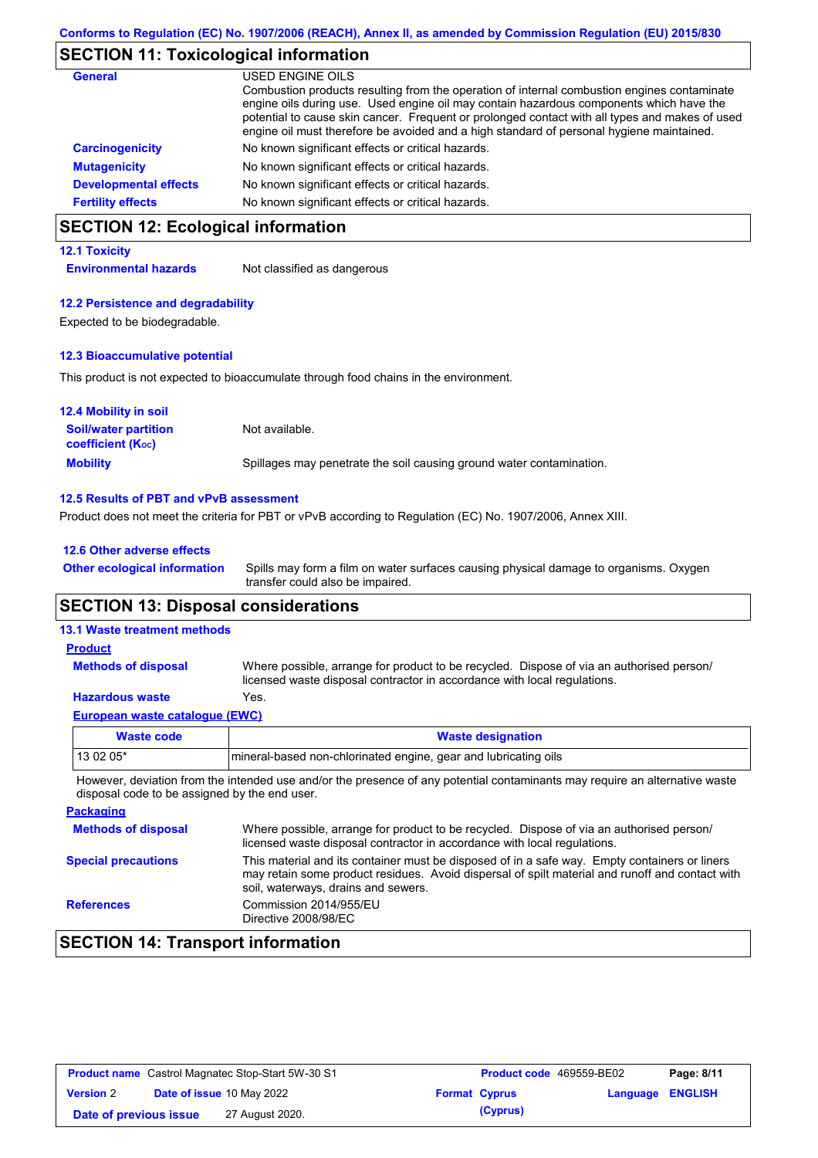# **SECTION 11: Toxicological information**

| General                      | USED ENGINE OILS                                                                                                                                                                                                                                                                                                                                                                     |
|------------------------------|--------------------------------------------------------------------------------------------------------------------------------------------------------------------------------------------------------------------------------------------------------------------------------------------------------------------------------------------------------------------------------------|
|                              | Combustion products resulting from the operation of internal combustion engines contaminate<br>engine oils during use. Used engine oil may contain hazardous components which have the<br>potential to cause skin cancer. Frequent or prolonged contact with all types and makes of used<br>engine oil must therefore be avoided and a high standard of personal hygiene maintained. |
| <b>Carcinogenicity</b>       | No known significant effects or critical hazards.                                                                                                                                                                                                                                                                                                                                    |
| <b>Mutagenicity</b>          | No known significant effects or critical hazards.                                                                                                                                                                                                                                                                                                                                    |
| <b>Developmental effects</b> | No known significant effects or critical hazards.                                                                                                                                                                                                                                                                                                                                    |
| <b>Fertility effects</b>     | No known significant effects or critical hazards.                                                                                                                                                                                                                                                                                                                                    |

# **SECTION 12: Ecological information**

#### **12.1 Toxicity**

**Environmental hazards** Not classified as dangerous

#### **12.2 Persistence and degradability**

Expected to be biodegradable.

#### **12.3 Bioaccumulative potential**

This product is not expected to bioaccumulate through food chains in the environment.

| <b>12.4 Mobility in soil</b>                                  |                                                                      |
|---------------------------------------------------------------|----------------------------------------------------------------------|
| <b>Soil/water partition</b><br>coefficient (K <sub>oc</sub> ) | Not available.                                                       |
| <b>Mobility</b>                                               | Spillages may penetrate the soil causing ground water contamination. |

#### **12.5 Results of PBT and vPvB assessment**

Product does not meet the criteria for PBT or vPvB according to Regulation (EC) No. 1907/2006, Annex XIII.

#### **12.6 Other adverse effects**

Spills may form a film on water surfaces causing physical damage to organisms. Oxygen transfer could also be impaired. **Other ecological information**

## **SECTION 13: Disposal considerations**

## **13.1 Waste treatment methods**

#### Where possible, arrange for product to be recycled. Dispose of via an authorised person/ licensed waste disposal contractor in accordance with local regulations. **Methods of disposal Product**

## **Hazardous waste** Yes.

| European waste cataloque (EWC) |                                                                  |  |  |  |
|--------------------------------|------------------------------------------------------------------|--|--|--|
| Waste code                     | <b>Waste designation</b>                                         |  |  |  |
| l 13 02 05*                    | Imineral-based non-chlorinated engine, gear and lubricating oils |  |  |  |

However, deviation from the intended use and/or the presence of any potential contaminants may require an alternative waste disposal code to be assigned by the end user.

| <b>Packaging</b>           |                                                                                                                                                                                                                                         |
|----------------------------|-----------------------------------------------------------------------------------------------------------------------------------------------------------------------------------------------------------------------------------------|
| <b>Methods of disposal</b> | Where possible, arrange for product to be recycled. Dispose of via an authorised person/<br>licensed waste disposal contractor in accordance with local regulations.                                                                    |
| <b>Special precautions</b> | This material and its container must be disposed of in a safe way. Empty containers or liners<br>may retain some product residues. Avoid dispersal of spilt material and runoff and contact with<br>soil, waterways, drains and sewers. |
| <b>References</b>          | Commission 2014/955/EU<br>Directive 2008/98/EC                                                                                                                                                                                          |

## **SECTION 14: Transport information**

| <b>Product name</b> Castrol Magnatec Stop-Start 5W-30 S1 |  | Product code 469559-BE02         | Page: 8/11 |                      |                  |  |
|----------------------------------------------------------|--|----------------------------------|------------|----------------------|------------------|--|
| <b>Version 2</b>                                         |  | <b>Date of issue 10 May 2022</b> |            | <b>Format Cyprus</b> | Language ENGLISH |  |
| Date of previous issue                                   |  | 27 August 2020.                  |            | (Cyprus)             |                  |  |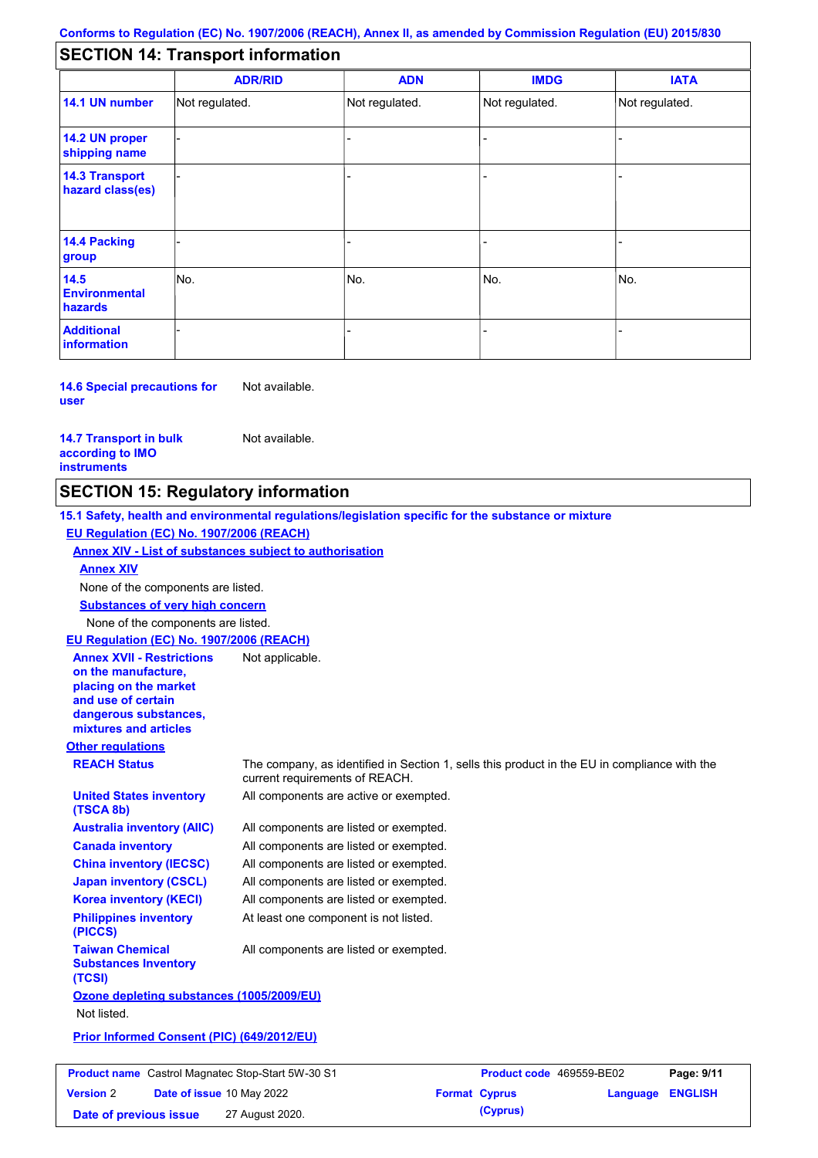## **SECTION 14: Transport information**

|                                           | <b>ADR/RID</b> | <b>ADN</b>     | <b>IMDG</b>    | <b>IATA</b>    |  |  |  |
|-------------------------------------------|----------------|----------------|----------------|----------------|--|--|--|
| 14.1 UN number                            | Not regulated. | Not regulated. | Not regulated. | Not regulated. |  |  |  |
| 14.2 UN proper<br>shipping name           |                |                |                |                |  |  |  |
| <b>14.3 Transport</b><br>hazard class(es) |                |                |                |                |  |  |  |
| 14.4 Packing<br>group                     |                |                |                |                |  |  |  |
| 14.5<br><b>Environmental</b><br>hazards   | No.            | No.            | No.            | No.            |  |  |  |
| <b>Additional</b><br><b>information</b>   |                |                | -              |                |  |  |  |

**14.6 Special precautions for user** Not available.

**14.7 Transport in bulk according to IMO instruments**

Not available.

## **SECTION 15: Regulatory information**

**Other regulations REACH Status** The company, as identified in Section 1, sells this product in the EU in compliance with the current requirements of REACH. **15.1 Safety, health and environmental regulations/legislation specific for the substance or mixture EU Regulation (EC) No. 1907/2006 (REACH) Annex XIV - List of substances subject to authorisation Substances of very high concern** None of the components are listed. All components are listed or exempted. All components are listed or exempted. All components are listed or exempted. All components are listed or exempted. All components are active or exempted. All components are listed or exempted. At least one component is not listed. **United States inventory (TSCA 8b) Australia inventory (AIIC) Canada inventory China inventory (IECSC) Japan inventory (CSCL) Korea inventory (KECI) Philippines inventory (PICCS) Taiwan Chemical Substances Inventory (TCSI)** All components are listed or exempted. **Ozone depleting substances (1005/2009/EU)** Not listed. **Prior Informed Consent (PIC) (649/2012/EU)** None of the components are listed. **Annex XIV EU Regulation (EC) No. 1907/2006 (REACH) Annex XVII - Restrictions on the manufacture, placing on the market and use of certain dangerous substances, mixtures and articles** Not applicable.

| <b>Product name</b> Castrol Magnatec Stop-Start 5W-30 S1 |                                  |                 | Product code 469559-BE02 | Page: 9/11           |                  |  |
|----------------------------------------------------------|----------------------------------|-----------------|--------------------------|----------------------|------------------|--|
| <b>Version 2</b>                                         | <b>Date of issue 10 May 2022</b> |                 |                          | <b>Format Cyprus</b> | Language ENGLISH |  |
| Date of previous issue                                   |                                  | 27 August 2020. |                          | (Cyprus)             |                  |  |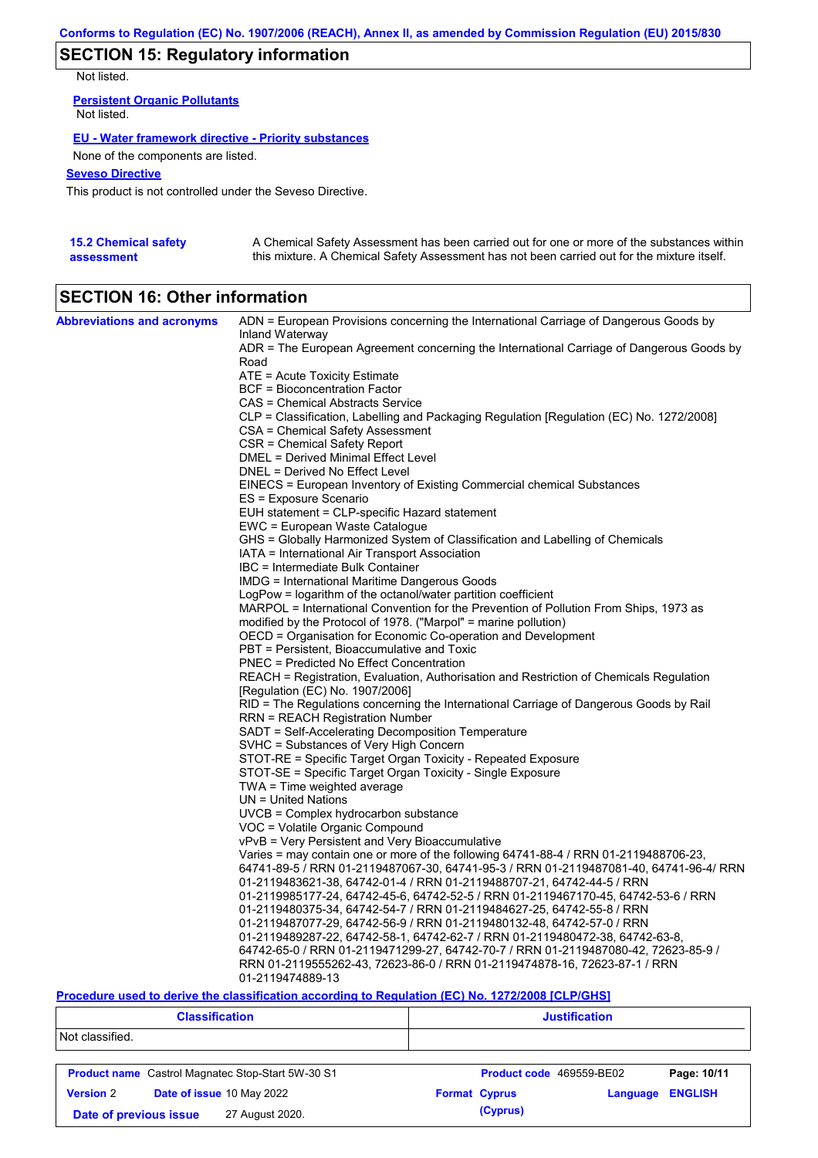# **SECTION 15: Regulatory information**

Not listed.

**Persistent Organic Pollutants** Not listed.

### **EU - Water framework directive - Priority substances**

None of the components are listed.

## **Seveso Directive**

This product is not controlled under the Seveso Directive.

| <b>15.2 Chemical safety</b> | A Chemical Safety Assessment has been carried out for one or more of the substances within  |
|-----------------------------|---------------------------------------------------------------------------------------------|
| assessment                  | this mixture. A Chemical Safety Assessment has not been carried out for the mixture itself. |

# **SECTION 16: Other information**

| <b>Abbreviations and acronyms</b> | ADN = European Provisions concerning the International Carriage of Dangerous Goods by<br>Inland Waterway |
|-----------------------------------|----------------------------------------------------------------------------------------------------------|
|                                   | ADR = The European Agreement concerning the International Carriage of Dangerous Goods by<br>Road         |
|                                   | ATE = Acute Toxicity Estimate                                                                            |
|                                   | <b>BCF</b> = Bioconcentration Factor                                                                     |
|                                   | CAS = Chemical Abstracts Service                                                                         |
|                                   |                                                                                                          |
|                                   | CLP = Classification, Labelling and Packaging Regulation [Regulation (EC) No. 1272/2008]                 |
|                                   | CSA = Chemical Safety Assessment                                                                         |
|                                   | CSR = Chemical Safety Report                                                                             |
|                                   | DMEL = Derived Minimal Effect Level                                                                      |
|                                   | DNEL = Derived No Effect Level                                                                           |
|                                   | EINECS = European Inventory of Existing Commercial chemical Substances                                   |
|                                   | ES = Exposure Scenario                                                                                   |
|                                   | EUH statement = CLP-specific Hazard statement                                                            |
|                                   | EWC = European Waste Catalogue                                                                           |
|                                   | GHS = Globally Harmonized System of Classification and Labelling of Chemicals                            |
|                                   | IATA = International Air Transport Association                                                           |
|                                   | IBC = Intermediate Bulk Container                                                                        |
|                                   | IMDG = International Maritime Dangerous Goods                                                            |
|                                   | LogPow = logarithm of the octanol/water partition coefficient                                            |
|                                   | MARPOL = International Convention for the Prevention of Pollution From Ships, 1973 as                    |
|                                   | modified by the Protocol of 1978. ("Marpol" = marine pollution)                                          |
|                                   | OECD = Organisation for Economic Co-operation and Development                                            |
|                                   | PBT = Persistent, Bioaccumulative and Toxic                                                              |
|                                   | <b>PNEC</b> = Predicted No Effect Concentration                                                          |
|                                   | REACH = Registration, Evaluation, Authorisation and Restriction of Chemicals Regulation                  |
|                                   | [Regulation (EC) No. 1907/2006]                                                                          |
|                                   | RID = The Regulations concerning the International Carriage of Dangerous Goods by Rail                   |
|                                   | RRN = REACH Registration Number                                                                          |
|                                   | SADT = Self-Accelerating Decomposition Temperature                                                       |
|                                   | SVHC = Substances of Very High Concern                                                                   |
|                                   | STOT-RE = Specific Target Organ Toxicity - Repeated Exposure                                             |
|                                   | STOT-SE = Specific Target Organ Toxicity - Single Exposure                                               |
|                                   | TWA = Time weighted average                                                                              |
|                                   | $UN = United Nations$                                                                                    |
|                                   | $UVCB = Complex\;hydrocarbon\; substance$                                                                |
|                                   | VOC = Volatile Organic Compound                                                                          |
|                                   | vPvB = Very Persistent and Very Bioaccumulative                                                          |
|                                   | Varies = may contain one or more of the following 64741-88-4 / RRN 01-2119488706-23,                     |
|                                   | 64741-89-5 / RRN 01-2119487067-30, 64741-95-3 / RRN 01-2119487081-40, 64741-96-4/ RRN                    |
|                                   |                                                                                                          |
|                                   | 01-2119483621-38, 64742-01-4 / RRN 01-2119488707-21, 64742-44-5 / RRN                                    |
|                                   | 01-2119985177-24, 64742-45-6, 64742-52-5 / RRN 01-2119467170-45, 64742-53-6 / RRN                        |
|                                   | 01-2119480375-34, 64742-54-7 / RRN 01-2119484627-25, 64742-55-8 / RRN                                    |
|                                   | 01-2119487077-29, 64742-56-9 / RRN 01-2119480132-48, 64742-57-0 / RRN                                    |
|                                   | 01-2119489287-22, 64742-58-1, 64742-62-7 / RRN 01-2119480472-38, 64742-63-8,                             |
|                                   | 64742-65-0 / RRN 01-2119471299-27, 64742-70-7 / RRN 01-2119487080-42, 72623-85-9 /                       |
|                                   | RRN 01-2119555262-43, 72623-86-0 / RRN 01-2119474878-16, 72623-87-1 / RRN                                |
|                                   | 01-2119474889-13                                                                                         |

### **Procedure used to derive the classification according to Regulation (EC) No. 1272/2008 [CLP/GHS]**

| <b>Classification</b>                         |                                                          | <b>Justification</b>     |          |                |  |
|-----------------------------------------------|----------------------------------------------------------|--------------------------|----------|----------------|--|
| Not classified.                               |                                                          |                          |          |                |  |
|                                               | <b>Product name</b> Castrol Magnatec Stop-Start 5W-30 S1 | Product code 469559-BE02 |          | Page: 10/11    |  |
| <b>Version 2</b><br>Date of issue 10 May 2022 |                                                          | <b>Format Cyprus</b>     | Language | <b>ENGLISH</b> |  |
| Date of previous issue<br>27 August 2020.     |                                                          | (Cyprus)                 |          |                |  |